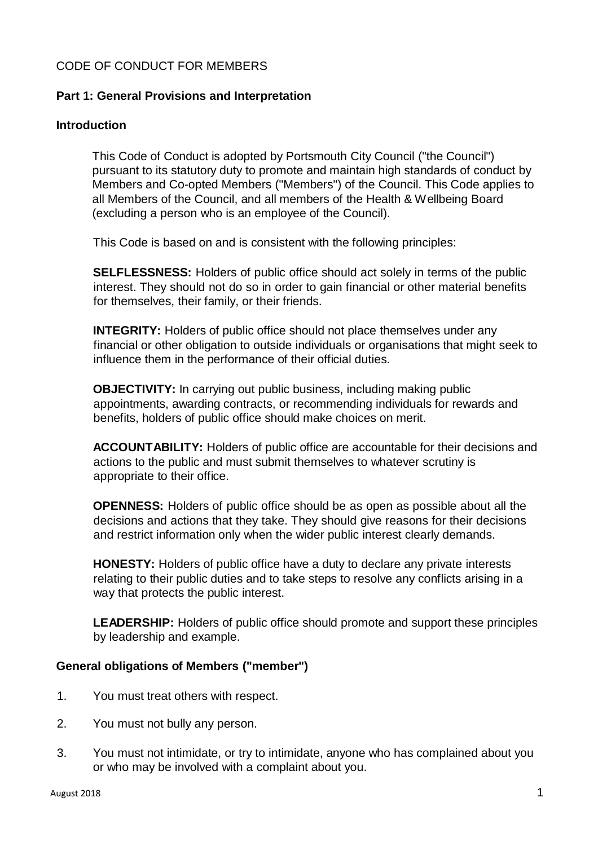## CODE OF CONDUCT FOR MEMBERS

# **Part 1: General Provisions and Interpretation**

## **Introduction**

This Code of Conduct is adopted by Portsmouth City Council ("the Council") pursuant to its statutory duty to promote and maintain high standards of conduct by Members and Co-opted Members ("Members") of the Council. This Code applies to all Members of the Council, and all members of the Health & Wellbeing Board (excluding a person who is an employee of the Council).

This Code is based on and is consistent with the following principles:

**SELFLESSNESS:** Holders of public office should act solely in terms of the public interest. They should not do so in order to gain financial or other material benefits for themselves, their family, or their friends.

**INTEGRITY:** Holders of public office should not place themselves under any financial or other obligation to outside individuals or organisations that might seek to influence them in the performance of their official duties.

**OBJECTIVITY:** In carrying out public business, including making public appointments, awarding contracts, or recommending individuals for rewards and benefits, holders of public office should make choices on merit.

**ACCOUNTABILITY:** Holders of public office are accountable for their decisions and actions to the public and must submit themselves to whatever scrutiny is appropriate to their office.

**OPENNESS:** Holders of public office should be as open as possible about all the decisions and actions that they take. They should give reasons for their decisions and restrict information only when the wider public interest clearly demands.

**HONESTY:** Holders of public office have a duty to declare any private interests relating to their public duties and to take steps to resolve any conflicts arising in a way that protects the public interest.

**LEADERSHIP:** Holders of public office should promote and support these principles by leadership and example.

# **General obligations of Members ("member")**

- 1. You must treat others with respect.
- 2. You must not bully any person.
- 3. You must not intimidate, or try to intimidate, anyone who has complained about you or who may be involved with a complaint about you.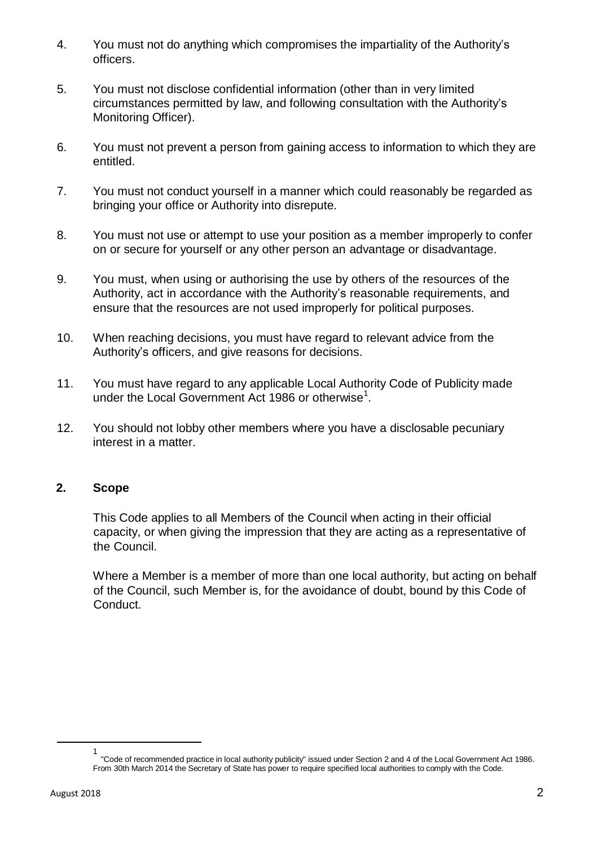- 4. You must not do anything which compromises the impartiality of the Authority's officers.
- 5. You must not disclose confidential information (other than in very limited circumstances permitted by law, and following consultation with the Authority's Monitoring Officer).
- 6. You must not prevent a person from gaining access to information to which they are entitled.
- 7. You must not conduct yourself in a manner which could reasonably be regarded as bringing your office or Authority into disrepute.
- 8. You must not use or attempt to use your position as a member improperly to confer on or secure for yourself or any other person an advantage or disadvantage.
- 9. You must, when using or authorising the use by others of the resources of the Authority, act in accordance with the Authority's reasonable requirements, and ensure that the resources are not used improperly for political purposes.
- 10. When reaching decisions, you must have regard to relevant advice from the Authority's officers, and give reasons for decisions.
- 11. You must have regard to any applicable Local Authority Code of Publicity made under the Local Government Act 1986 or otherwise<sup>1</sup>.
- 12. You should not lobby other members where you have a disclosable pecuniary interest in a matter.

### **2. Scope**

This Code applies to all Members of the Council when acting in their official capacity, or when giving the impression that they are acting as a representative of the Council.

Where a Member is a member of more than one local authority, but acting on behalf of the Council, such Member is, for the avoidance of doubt, bound by this Code of Conduct.

<sup>1</sup> "Code of recommended practice in local authority publicity" issued under Section 2 and 4 of the Local Government Act 1986. From 30th March 2014 the Secretary of State has power to require specified local authorities to comply with the Code.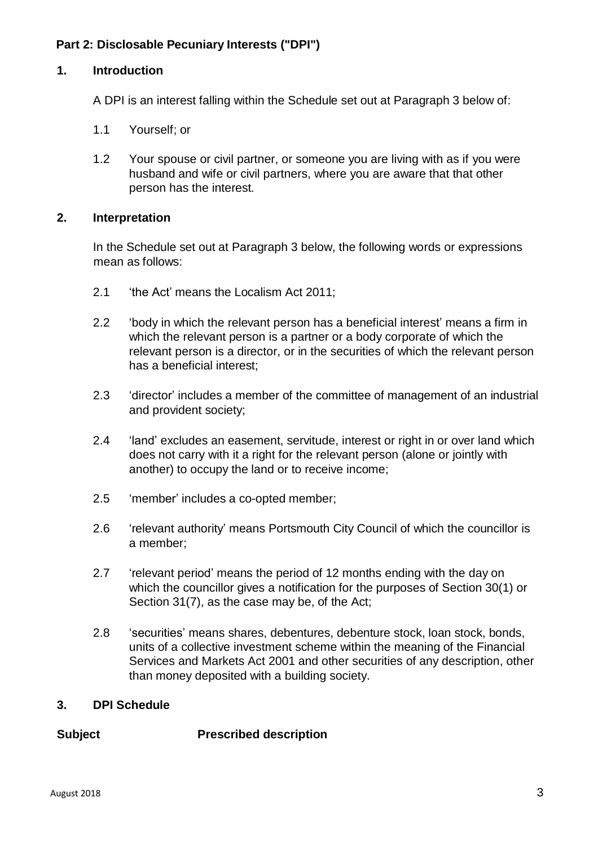## **Part 2: Disclosable Pecuniary Interests ("DPI")**

#### **1. Introduction**

A DPI is an interest falling within the Schedule set out at Paragraph 3 below of:

- 1.1 Yourself; or
- 1.2 Your spouse or civil partner, or someone you are living with as if you were husband and wife or civil partners, where you are aware that that other person has the interest.

#### **2. Interpretation**

In the Schedule set out at Paragraph 3 below, the following words or expressions mean as follows:

- 2.1 'the Act' means the Localism Act 2011;
- 2.2 'body in which the relevant person has a beneficial interest' means a firm in which the relevant person is a partner or a body corporate of which the relevant person is a director, or in the securities of which the relevant person has a beneficial interest;
- 2.3 'director' includes a member of the committee of management of an industrial and provident society;
- 2.4 'land' excludes an easement, servitude, interest or right in or over land which does not carry with it a right for the relevant person (alone or jointly with another) to occupy the land or to receive income;
- 2.5 'member' includes a co-opted member;
- 2.6 'relevant authority' means Portsmouth City Council of which the councillor is a member;
- 2.7 'relevant period' means the period of 12 months ending with the day on which the councillor gives a notification for the purposes of Section 30(1) or Section 31(7), as the case may be, of the Act;
- 2.8 'securities' means shares, debentures, debenture stock, loan stock, bonds, units of a collective investment scheme within the meaning of the Financial Services and Markets Act 2001 and other securities of any description, other than money deposited with a building society.

#### **3. DPI Schedule**

**Subject Prescribed description**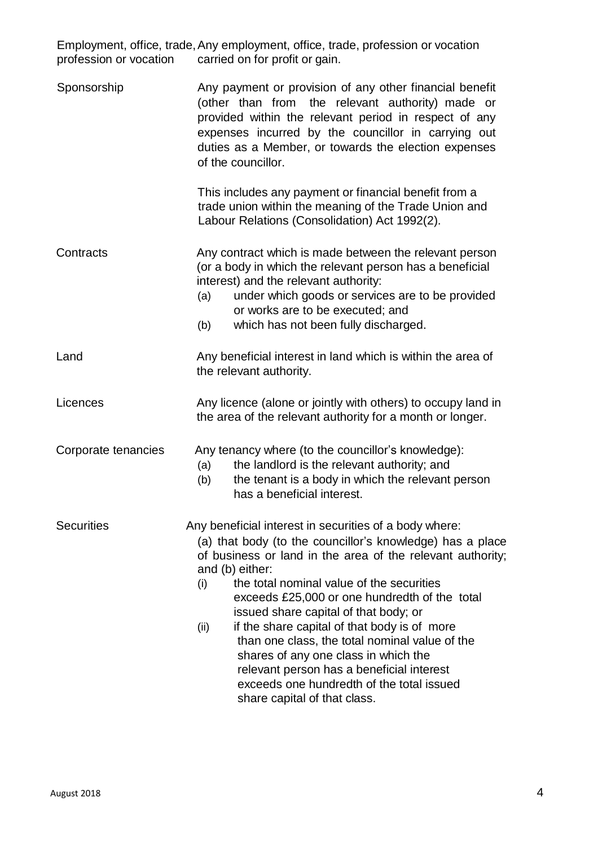| profession or vocation | Employment, office, trade, Any employment, office, trade, profession or vocation<br>carried on for profit or gain.                                                                                                                                                                                                                                                                                                                                                                                                                                                                                                             |
|------------------------|--------------------------------------------------------------------------------------------------------------------------------------------------------------------------------------------------------------------------------------------------------------------------------------------------------------------------------------------------------------------------------------------------------------------------------------------------------------------------------------------------------------------------------------------------------------------------------------------------------------------------------|
| Sponsorship            | Any payment or provision of any other financial benefit<br>(other than from the relevant authority) made or<br>provided within the relevant period in respect of any<br>expenses incurred by the councillor in carrying out<br>duties as a Member, or towards the election expenses<br>of the councillor.                                                                                                                                                                                                                                                                                                                      |
|                        | This includes any payment or financial benefit from a<br>trade union within the meaning of the Trade Union and<br>Labour Relations (Consolidation) Act 1992(2).                                                                                                                                                                                                                                                                                                                                                                                                                                                                |
| Contracts              | Any contract which is made between the relevant person<br>(or a body in which the relevant person has a beneficial<br>interest) and the relevant authority:<br>under which goods or services are to be provided<br>(a)<br>or works are to be executed; and<br>which has not been fully discharged.<br>(b)                                                                                                                                                                                                                                                                                                                      |
| Land                   | Any beneficial interest in land which is within the area of<br>the relevant authority.                                                                                                                                                                                                                                                                                                                                                                                                                                                                                                                                         |
| Licences               | Any licence (alone or jointly with others) to occupy land in<br>the area of the relevant authority for a month or longer.                                                                                                                                                                                                                                                                                                                                                                                                                                                                                                      |
| Corporate tenancies    | Any tenancy where (to the councillor's knowledge):<br>the landlord is the relevant authority; and<br>(a)<br>the tenant is a body in which the relevant person<br>(b)<br>has a beneficial interest.                                                                                                                                                                                                                                                                                                                                                                                                                             |
| <b>Securities</b>      | Any beneficial interest in securities of a body where:<br>(a) that body (to the councillor's knowledge) has a place<br>of business or land in the area of the relevant authority;<br>and (b) either:<br>the total nominal value of the securities<br>(i)<br>exceeds £25,000 or one hundredth of the total<br>issued share capital of that body; or<br>if the share capital of that body is of more<br>(ii)<br>than one class, the total nominal value of the<br>shares of any one class in which the<br>relevant person has a beneficial interest<br>exceeds one hundredth of the total issued<br>share capital of that class. |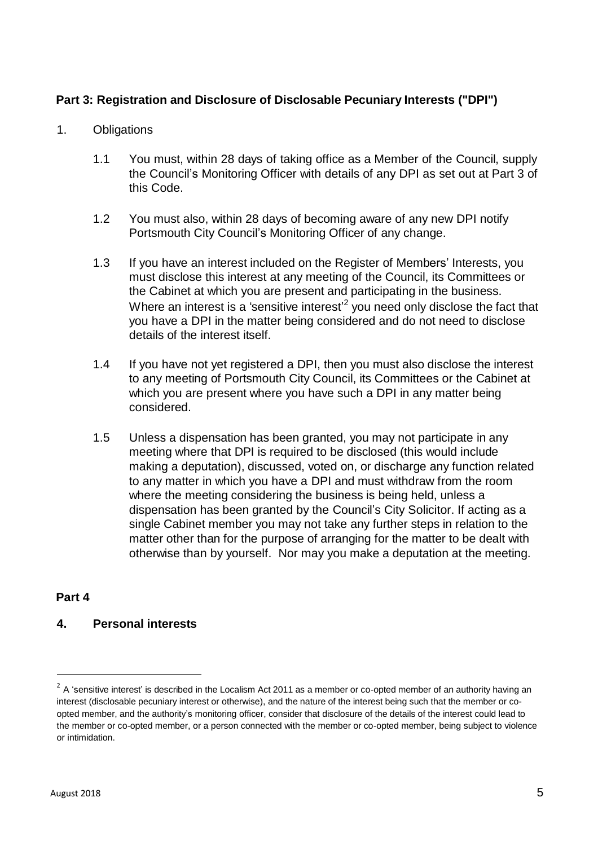## **Part 3: Registration and Disclosure of Disclosable Pecuniary Interests ("DPI")**

- 1. Obligations
	- 1.1 You must, within 28 days of taking office as a Member of the Council, supply the Council's Monitoring Officer with details of any DPI as set out at Part 3 of this Code.
	- 1.2 You must also, within 28 days of becoming aware of any new DPI notify Portsmouth City Council's Monitoring Officer of any change.
	- 1.3 If you have an interest included on the Register of Members' Interests, you must disclose this interest at any meeting of the Council, its Committees or the Cabinet at which you are present and participating in the business. Where an interest is a 'sensitive interest'<sup>2</sup> you need only disclose the fact that you have a DPI in the matter being considered and do not need to disclose details of the interest itself.
	- 1.4 If you have not yet registered a DPI, then you must also disclose the interest to any meeting of Portsmouth City Council, its Committees or the Cabinet at which you are present where you have such a DPI in any matter being considered.
	- 1.5 Unless a dispensation has been granted, you may not participate in any meeting where that DPI is required to be disclosed (this would include making a deputation), discussed, voted on, or discharge any function related to any matter in which you have a DPI and must withdraw from the room where the meeting considering the business is being held, unless a dispensation has been granted by the Council's City Solicitor. If acting as a single Cabinet member you may not take any further steps in relation to the matter other than for the purpose of arranging for the matter to be dealt with otherwise than by yourself. Nor may you make a deputation at the meeting.

### **Part 4**

## **4. Personal interests**

 $2$  A 'sensitive interest' is described in the Localism Act 2011 as a member or co-opted member of an authority having an interest (disclosable pecuniary interest or otherwise), and the nature of the interest being such that the member or coopted member, and the authority's monitoring officer, consider that disclosure of the details of the interest could lead to the member or co-opted member, or a person connected with the member or co-opted member, being subject to violence or intimidation.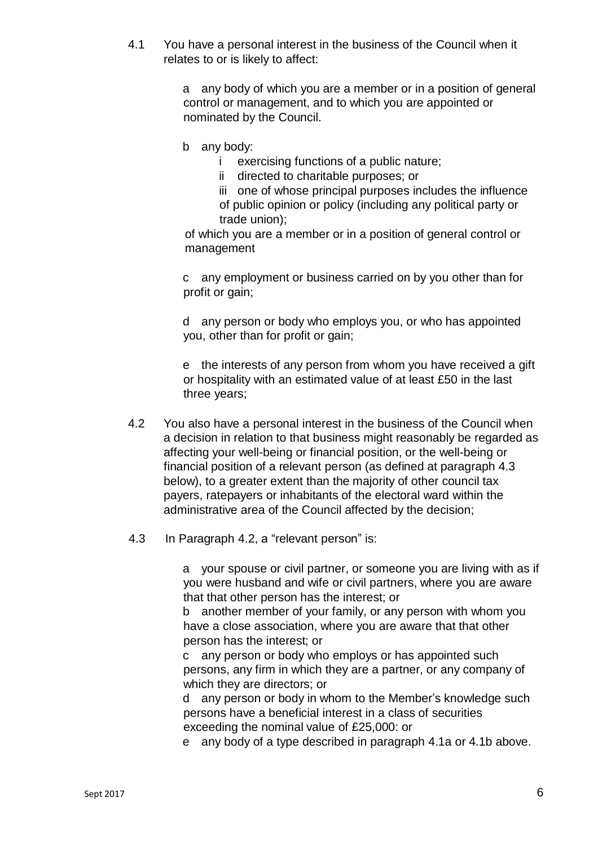<span id="page-5-3"></span><span id="page-5-2"></span>4.1 You have a personal interest in the business of the Council when it relates to or is likely to affect:

> a any body of which you are a member or in a position of general control or management, and to which you are appointed or nominated by the Council.

- b any body:
	- i exercising functions of a public nature;
	- ii directed to charitable purposes; or

iii one of whose principal purposes includes the influence of public opinion or policy (including any political party or trade union);

of which you are a member or in a position of general control or management

c any employment or business carried on by you other than for profit or gain;

d any person or body who employs you, or who has appointed you, other than for profit or gain;

e the interests of any person from whom you have received a gift or hospitality with an estimated value of at least £50 in the last three years;

- <span id="page-5-1"></span>4.2 You also have a personal interest in the business of the Council when a decision in relation to that business might reasonably be regarded as affecting your well-being or financial position, or the well-being or financial position of a relevant person (as defined at paragraph [4.3](#page-5-0) below), to a greater extent than the majority of other council tax payers, ratepayers or inhabitants of the electoral ward within the administrative area of the Council affected by the decision;
- <span id="page-5-0"></span>4.3 In Paragraph [4.2,](#page-5-1) a "relevant person" is:

a your spouse or civil partner, or someone you are living with as if you were husband and wife or civil partners, where you are aware that that other person has the interest; or

b another member of your family, or any person with whom you have a close association, where you are aware that that other person has the interest; or

c any person or body who employs or has appointed such persons, any firm in which they are a partner, or any company of which they are directors; or

d any person or body in whom to the Member's knowledge such persons have a beneficial interest in a class of securities exceeding the nominal value of £25,000: or

e any body of a type described in paragraph [4.1a](#page-5-2) or [4.1b](#page-5-3) above.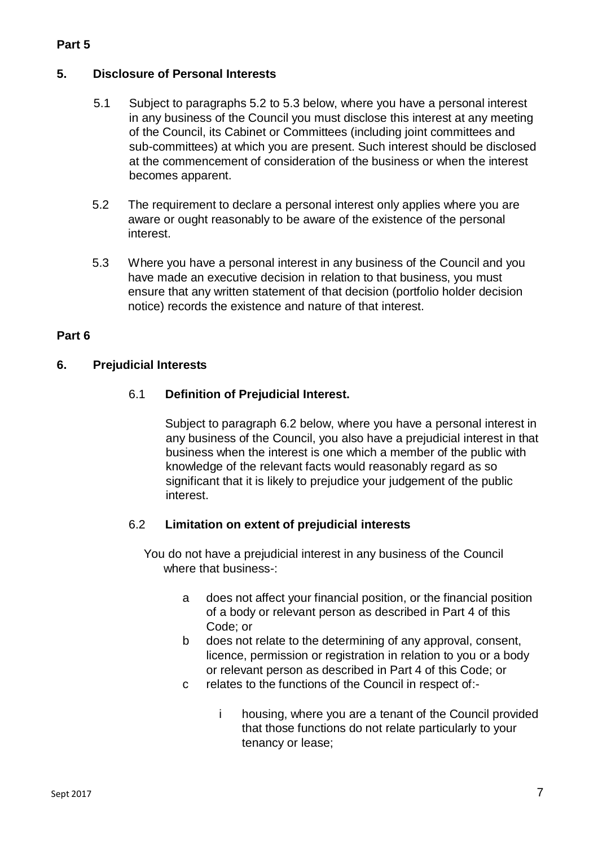## **Part 5**

## **5. Disclosure of Personal Interests**

- 5.1 Subject to paragraphs 5.2 to 5.3 below, where you have a personal interest in any business of the Council you must disclose this interest at any meeting of the Council, its Cabinet or Committees (including joint committees and sub-committees) at which you are present. Such interest should be disclosed at the commencement of consideration of the business or when the interest becomes apparent.
- 5.2 The requirement to declare a personal interest only applies where you are aware or ought reasonably to be aware of the existence of the personal interest.
- 5.3 Where you have a personal interest in any business of the Council and you have made an executive decision in relation to that business, you must ensure that any written statement of that decision (portfolio holder decision notice) records the existence and nature of that interest.

### **Part 6**

## <span id="page-6-1"></span>**6. Prejudicial Interests**

## 6.1 **Definition of Prejudicial Interest.**

Subject to paragraph [6.2](#page-6-0) below, where you have a personal interest in any business of the Council, you also have a prejudicial interest in that business when the interest is one which a member of the public with knowledge of the relevant facts would reasonably regard as so significant that it is likely to prejudice your judgement of the public interest.

### <span id="page-6-0"></span>6.2 **Limitation on extent of prejudicial interests**

You do not have a prejudicial interest in any business of the Council where that business-:

- a does not affect your financial position, or the financial position of a body or relevant person as described in Part 4 of this Code; or
- b does not relate to the determining of any approval, consent, licence, permission or registration in relation to you or a body or relevant person as described in Part 4 of this Code; or
- c relates to the functions of the Council in respect of:
	- i housing, where you are a tenant of the Council provided that those functions do not relate particularly to your tenancy or lease;